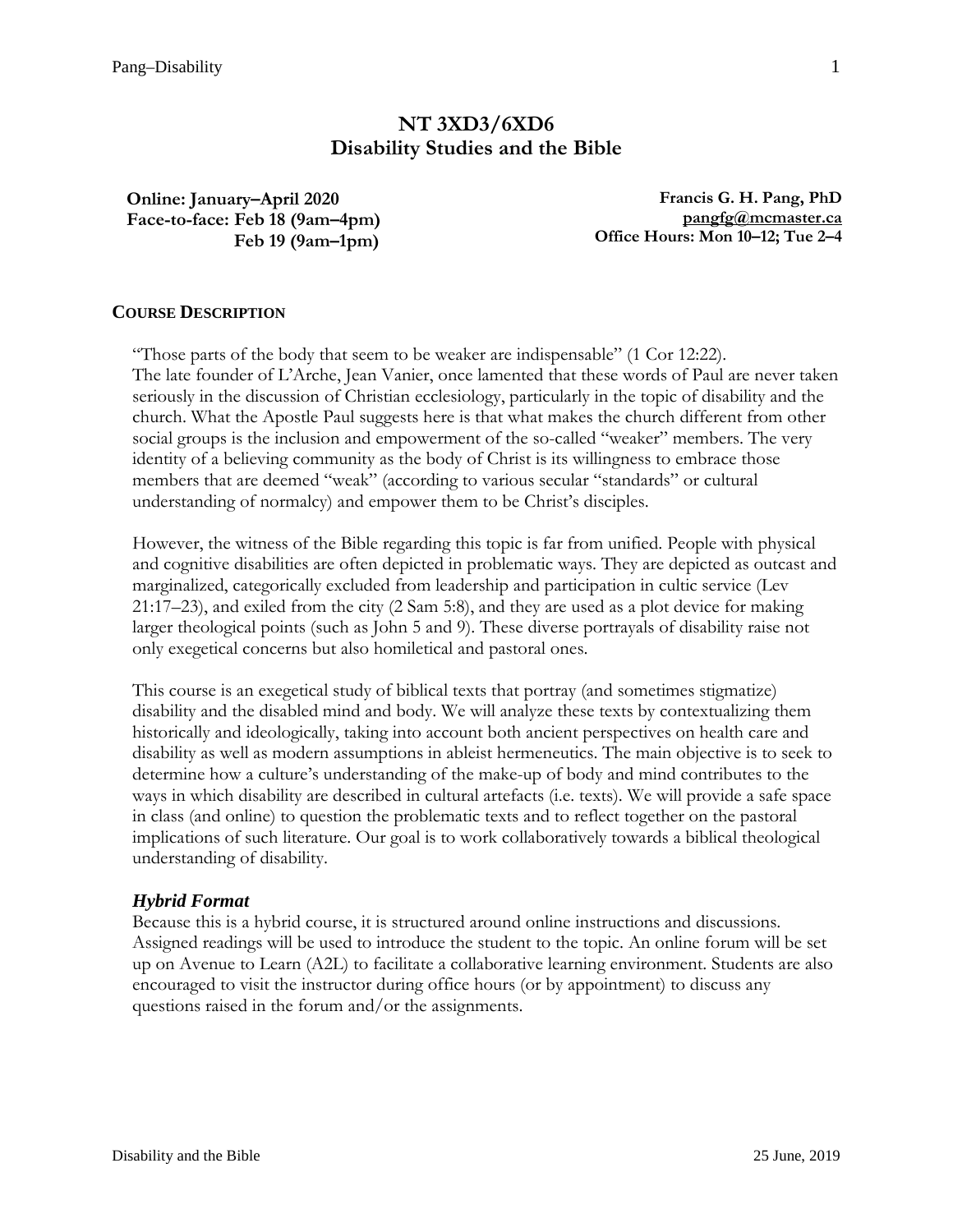# **NT 3XD3/6XD6 Disability Studies and the Bible**

**Online: January–April 2020 Face-to-face: Feb 18 (9am–4pm) Feb 19 (9am–1pm)**

**Francis G. H. Pang, PhD [pangfg@mcmaster.ca](mailto:pangfg@mcmaster.ca) Office Hours: Mon 10–12; Tue 2–4**

# **COURSE DESCRIPTION**

"Those parts of the body that seem to be weaker are indispensable" (1 Cor 12:22). The late founder of L'Arche, Jean Vanier, once lamented that these words of Paul are never taken seriously in the discussion of Christian ecclesiology, particularly in the topic of disability and the church. What the Apostle Paul suggests here is that what makes the church different from other social groups is the inclusion and empowerment of the so-called "weaker" members. The very identity of a believing community as the body of Christ is its willingness to embrace those members that are deemed "weak" (according to various secular "standards" or cultural understanding of normalcy) and empower them to be Christ's disciples.

However, the witness of the Bible regarding this topic is far from unified. People with physical and cognitive disabilities are often depicted in problematic ways. They are depicted as outcast and marginalized, categorically excluded from leadership and participation in cultic service (Lev 21:17–23), and exiled from the city (2 Sam 5:8), and they are used as a plot device for making larger theological points (such as John 5 and 9). These diverse portrayals of disability raise not only exegetical concerns but also homiletical and pastoral ones.

This course is an exegetical study of biblical texts that portray (and sometimes stigmatize) disability and the disabled mind and body. We will analyze these texts by contextualizing them historically and ideologically, taking into account both ancient perspectives on health care and disability as well as modern assumptions in ableist hermeneutics. The main objective is to seek to determine how a culture's understanding of the make-up of body and mind contributes to the ways in which disability are described in cultural artefacts (i.e. texts). We will provide a safe space in class (and online) to question the problematic texts and to reflect together on the pastoral implications of such literature. Our goal is to work collaboratively towards a biblical theological understanding of disability.

### *Hybrid Format*

Because this is a hybrid course, it is structured around online instructions and discussions. Assigned readings will be used to introduce the student to the topic. An online forum will be set up on Avenue to Learn (A2L) to facilitate a collaborative learning environment. Students are also encouraged to visit the instructor during office hours (or by appointment) to discuss any questions raised in the forum and/or the assignments.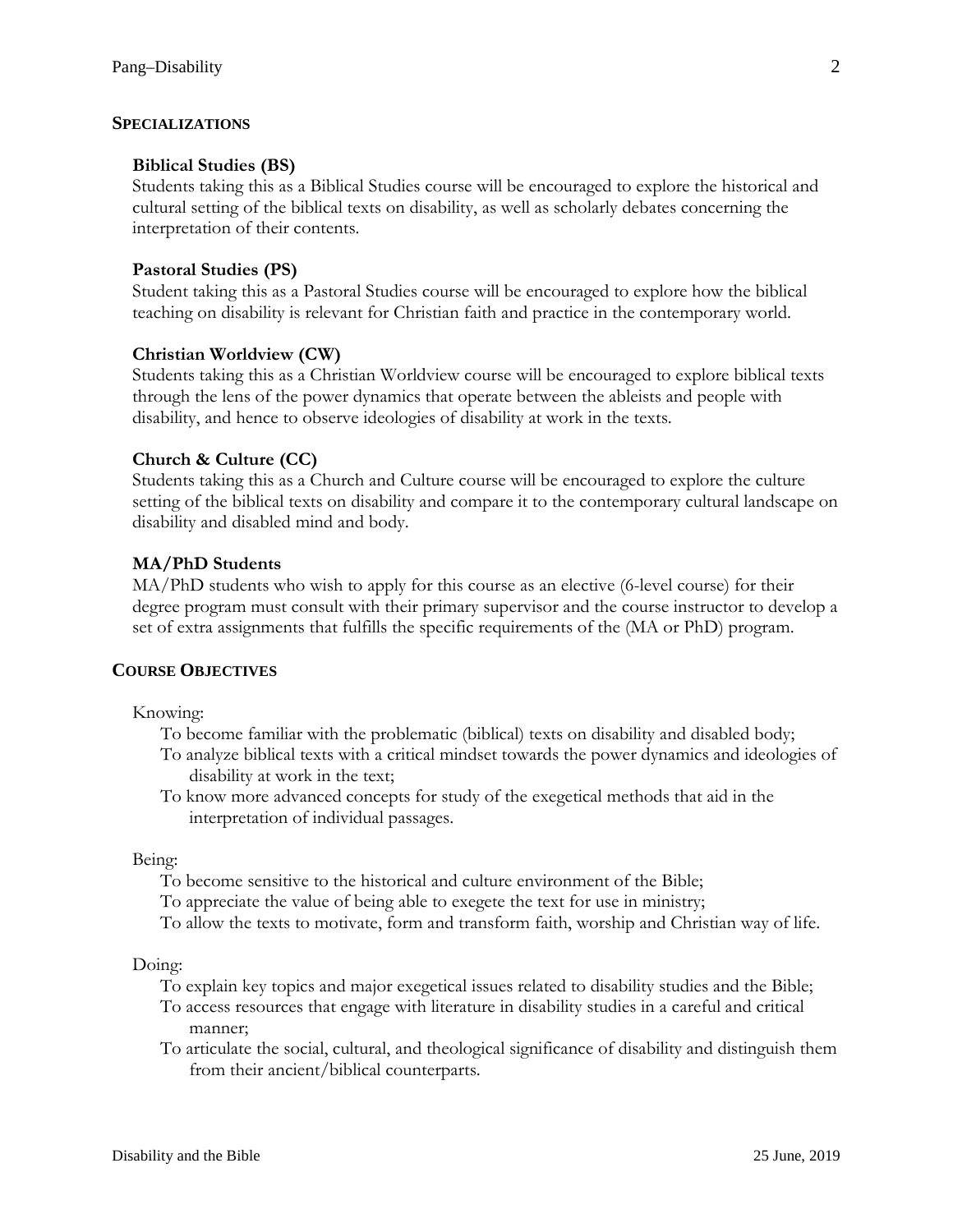#### **SPECIALIZATIONS**

#### **Biblical Studies (BS)**

Students taking this as a Biblical Studies course will be encouraged to explore the historical and cultural setting of the biblical texts on disability, as well as scholarly debates concerning the interpretation of their contents.

#### **Pastoral Studies (PS)**

Student taking this as a Pastoral Studies course will be encouraged to explore how the biblical teaching on disability is relevant for Christian faith and practice in the contemporary world.

#### **Christian Worldview (CW)**

Students taking this as a Christian Worldview course will be encouraged to explore biblical texts through the lens of the power dynamics that operate between the ableists and people with disability, and hence to observe ideologies of disability at work in the texts.

#### **Church & Culture (CC)**

Students taking this as a Church and Culture course will be encouraged to explore the culture setting of the biblical texts on disability and compare it to the contemporary cultural landscape on disability and disabled mind and body.

#### **MA/PhD Students**

MA/PhD students who wish to apply for this course as an elective (6-level course) for their degree program must consult with their primary supervisor and the course instructor to develop a set of extra assignments that fulfills the specific requirements of the (MA or PhD) program.

# **COURSE OBJECTIVES**

Knowing:

- To become familiar with the problematic (biblical) texts on disability and disabled body;
- To analyze biblical texts with a critical mindset towards the power dynamics and ideologies of disability at work in the text;
- To know more advanced concepts for study of the exegetical methods that aid in the interpretation of individual passages.

Being:

- To become sensitive to the historical and culture environment of the Bible;
- To appreciate the value of being able to exegete the text for use in ministry;
- To allow the texts to motivate, form and transform faith, worship and Christian way of life.

Doing:

- To explain key topics and major exegetical issues related to disability studies and the Bible;
- To access resources that engage with literature in disability studies in a careful and critical manner;
- To articulate the social, cultural, and theological significance of disability and distinguish them from their ancient/biblical counterparts.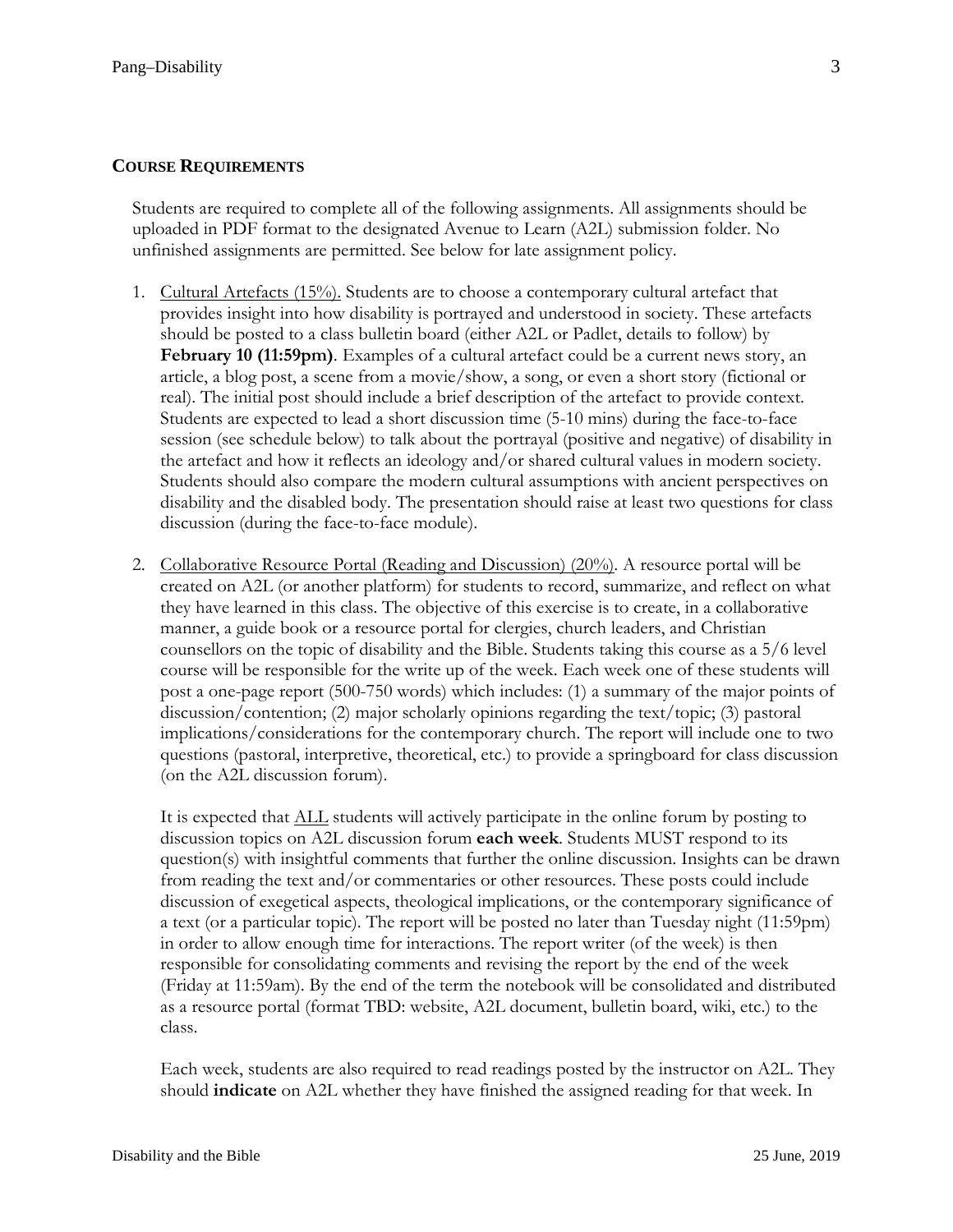# **COURSE REQUIREMENTS**

Students are required to complete all of the following assignments. All assignments should be uploaded in PDF format to the designated Avenue to Learn (A2L) submission folder. No unfinished assignments are permitted. See below for late assignment policy.

- 1. Cultural Artefacts (15%). Students are to choose a contemporary cultural artefact that provides insight into how disability is portrayed and understood in society. These artefacts should be posted to a class bulletin board (either A2L or Padlet, details to follow) by **February 10 (11:59pm)**. Examples of a cultural artefact could be a current news story, an article, a blog post, a scene from a movie/show, a song, or even a short story (fictional or real). The initial post should include a brief description of the artefact to provide context. Students are expected to lead a short discussion time (5-10 mins) during the face-to-face session (see schedule below) to talk about the portrayal (positive and negative) of disability in the artefact and how it reflects an ideology and/or shared cultural values in modern society. Students should also compare the modern cultural assumptions with ancient perspectives on disability and the disabled body. The presentation should raise at least two questions for class discussion (during the face-to-face module).
- 2. Collaborative Resource Portal (Reading and Discussion) (20%). A resource portal will be created on A2L (or another platform) for students to record, summarize, and reflect on what they have learned in this class. The objective of this exercise is to create, in a collaborative manner, a guide book or a resource portal for clergies, church leaders, and Christian counsellors on the topic of disability and the Bible. Students taking this course as a 5/6 level course will be responsible for the write up of the week. Each week one of these students will post a one-page report (500-750 words) which includes: (1) a summary of the major points of discussion/contention; (2) major scholarly opinions regarding the text/topic; (3) pastoral implications/considerations for the contemporary church. The report will include one to two questions (pastoral, interpretive, theoretical, etc.) to provide a springboard for class discussion (on the A2L discussion forum).

It is expected that ALL students will actively participate in the online forum by posting to discussion topics on A2L discussion forum **each week**. Students MUST respond to its question(s) with insightful comments that further the online discussion. Insights can be drawn from reading the text and/or commentaries or other resources. These posts could include discussion of exegetical aspects, theological implications, or the contemporary significance of a text (or a particular topic). The report will be posted no later than Tuesday night (11:59pm) in order to allow enough time for interactions. The report writer (of the week) is then responsible for consolidating comments and revising the report by the end of the week (Friday at 11:59am). By the end of the term the notebook will be consolidated and distributed as a resource portal (format TBD: website, A2L document, bulletin board, wiki, etc.) to the class.

Each week, students are also required to read readings posted by the instructor on A2L. They should **indicate** on A2L whether they have finished the assigned reading for that week. In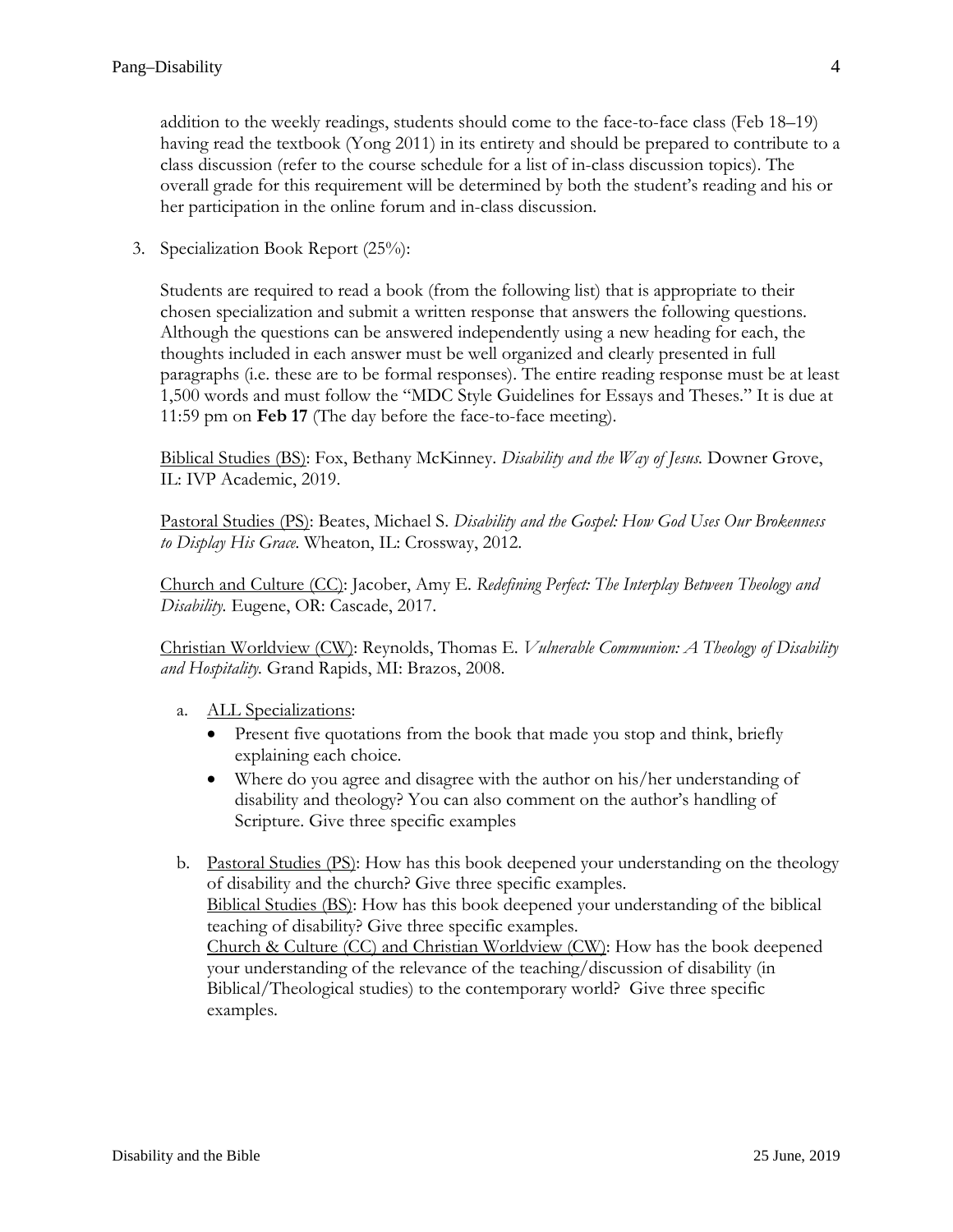addition to the weekly readings, students should come to the face-to-face class (Feb 18–19) having read the textbook (Yong 2011) in its entirety and should be prepared to contribute to a class discussion (refer to the course schedule for a list of in-class discussion topics). The overall grade for this requirement will be determined by both the student's reading and his or her participation in the online forum and in-class discussion.

3. Specialization Book Report (25%):

Students are required to read a book (from the following list) that is appropriate to their chosen specialization and submit a written response that answers the following questions. Although the questions can be answered independently using a new heading for each, the thoughts included in each answer must be well organized and clearly presented in full paragraphs (i.e. these are to be formal responses). The entire reading response must be at least 1,500 words and must follow the "MDC Style Guidelines for Essays and Theses." It is due at 11:59 pm on **Feb 17** (The day before the face-to-face meeting).

Biblical Studies (BS): Fox, Bethany McKinney. *Disability and the Way of Jesus.* Downer Grove, IL: IVP Academic, 2019.

Pastoral Studies (PS): Beates, Michael S. *Disability and the Gospel: How God Uses Our Brokenness to Display His Grace.* Wheaton, IL: Crossway, 2012.

Church and Culture (CC): Jacober, Amy E. *Redefining Perfect: The Interplay Between Theology and Disability.* Eugene, OR: Cascade, 2017.

Christian Worldview (CW): Reynolds, Thomas E. *Vulnerable Communion: A Theology of Disability and Hospitality.* Grand Rapids, MI: Brazos, 2008.

- a. ALL Specializations:
	- Present five quotations from the book that made you stop and think, briefly explaining each choice.
	- Where do you agree and disagree with the author on his/her understanding of disability and theology? You can also comment on the author's handling of Scripture. Give three specific examples
- b. Pastoral Studies (PS): How has this book deepened your understanding on the theology of disability and the church? Give three specific examples. Biblical Studies (BS): How has this book deepened your understanding of the biblical teaching of disability? Give three specific examples. Church & Culture (CC) and Christian Worldview (CW): How has the book deepened your understanding of the relevance of the teaching/discussion of disability (in Biblical/Theological studies) to the contemporary world? Give three specific examples.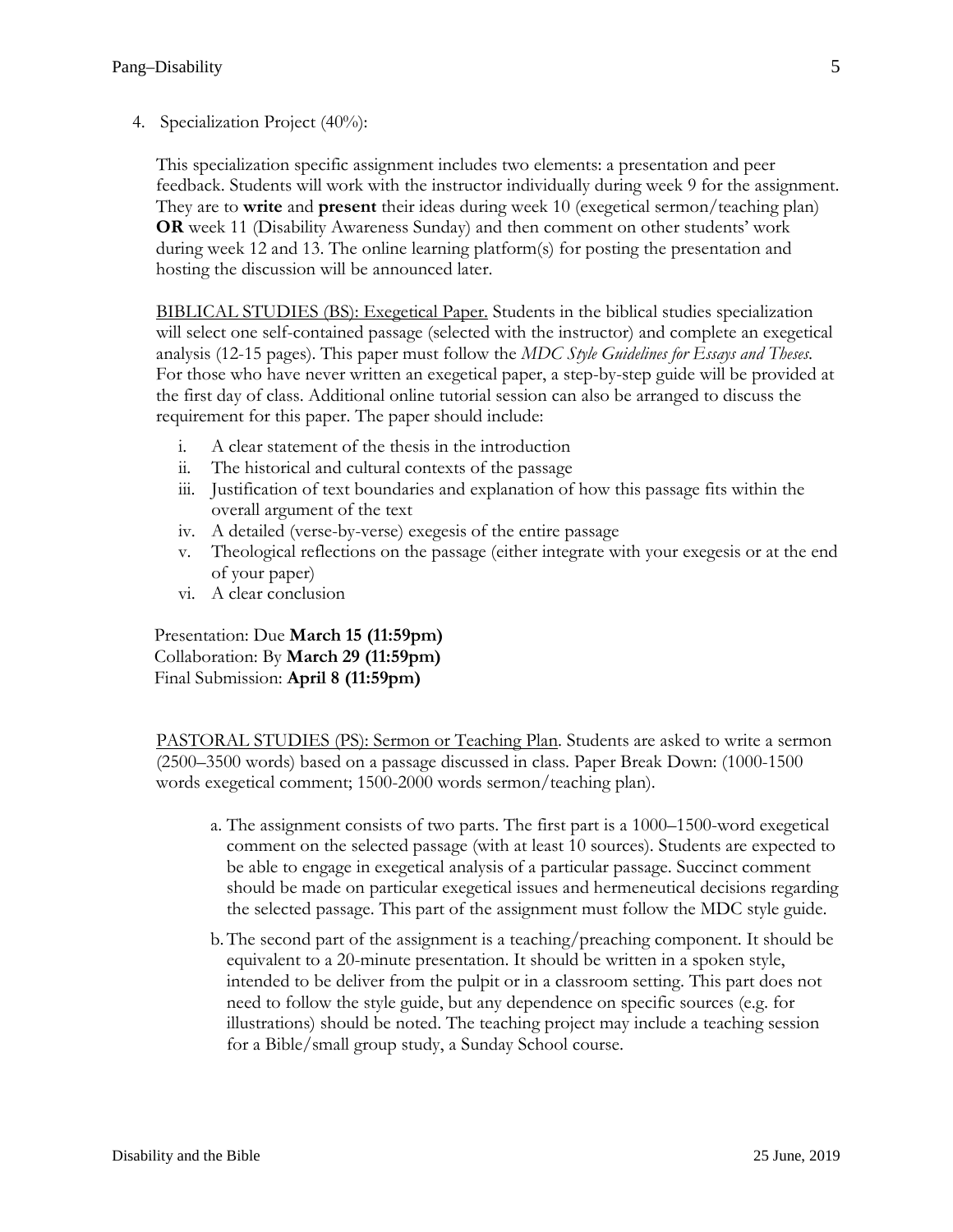4. Specialization Project (40%):

This specialization specific assignment includes two elements: a presentation and peer feedback. Students will work with the instructor individually during week 9 for the assignment. They are to **write** and **present** their ideas during week 10 (exegetical sermon/teaching plan) **OR** week 11 (Disability Awareness Sunday) and then comment on other students' work during week 12 and 13. The online learning platform(s) for posting the presentation and hosting the discussion will be announced later.

BIBLICAL STUDIES (BS): Exegetical Paper. Students in the biblical studies specialization will select one self-contained passage (selected with the instructor) and complete an exegetical analysis (12-15 pages). This paper must follow the *MDC Style Guidelines for Essays and Theses*. For those who have never written an exegetical paper, a step-by-step guide will be provided at the first day of class. Additional online tutorial session can also be arranged to discuss the requirement for this paper. The paper should include:

- i. A clear statement of the thesis in the introduction
- ii. The historical and cultural contexts of the passage
- iii. Justification of text boundaries and explanation of how this passage fits within the overall argument of the text
- iv. A detailed (verse-by-verse) exegesis of the entire passage
- v. Theological reflections on the passage (either integrate with your exegesis or at the end of your paper)
- vi. A clear conclusion

Presentation: Due **March 15 (11:59pm)** Collaboration: By **March 29 (11:59pm)** Final Submission: **April 8 (11:59pm)**

PASTORAL STUDIES (PS): Sermon or Teaching Plan. Students are asked to write a sermon (2500–3500 words) based on a passage discussed in class. Paper Break Down: (1000-1500 words exegetical comment; 1500-2000 words sermon/teaching plan).

- a. The assignment consists of two parts. The first part is a 1000–1500-word exegetical comment on the selected passage (with at least 10 sources). Students are expected to be able to engage in exegetical analysis of a particular passage. Succinct comment should be made on particular exegetical issues and hermeneutical decisions regarding the selected passage. This part of the assignment must follow the MDC style guide.
- b.The second part of the assignment is a teaching/preaching component. It should be equivalent to a 20-minute presentation. It should be written in a spoken style, intended to be deliver from the pulpit or in a classroom setting. This part does not need to follow the style guide, but any dependence on specific sources (e.g. for illustrations) should be noted. The teaching project may include a teaching session for a Bible/small group study, a Sunday School course.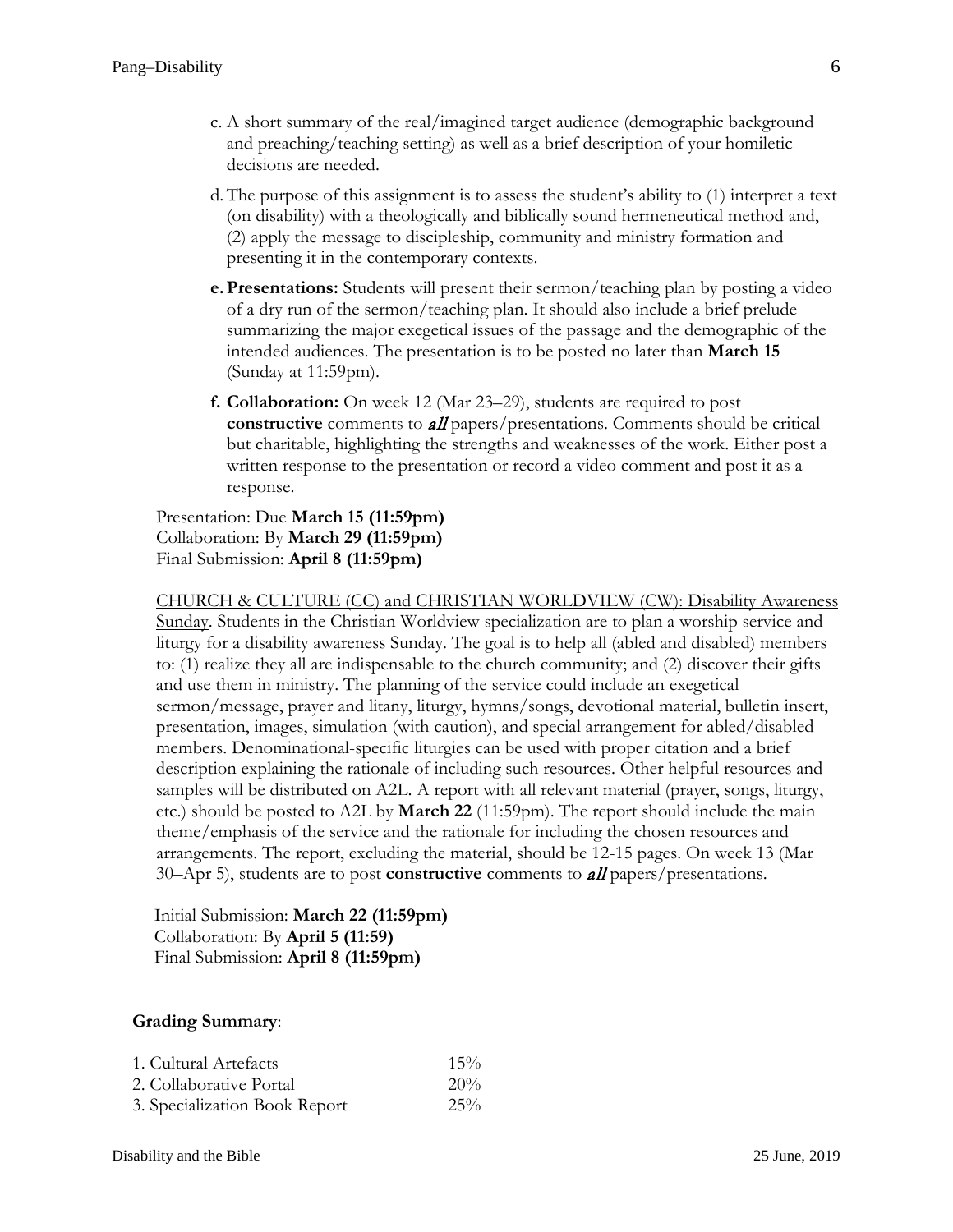- c. A short summary of the real/imagined target audience (demographic background and preaching/teaching setting) as well as a brief description of your homiletic decisions are needed.
- d.The purpose of this assignment is to assess the student's ability to (1) interpret a text (on disability) with a theologically and biblically sound hermeneutical method and, (2) apply the message to discipleship, community and ministry formation and presenting it in the contemporary contexts.
- **e.Presentations:** Students will present their sermon/teaching plan by posting a video of a dry run of the sermon/teaching plan. It should also include a brief prelude summarizing the major exegetical issues of the passage and the demographic of the intended audiences. The presentation is to be posted no later than **March 15** (Sunday at 11:59pm).
- **f. Collaboration:** On week 12 (Mar 23–29), students are required to post **constructive** comments to **all** papers/presentations. Comments should be critical but charitable, highlighting the strengths and weaknesses of the work. Either post a written response to the presentation or record a video comment and post it as a response.

Presentation: Due **March 15 (11:59pm)** Collaboration: By **March 29 (11:59pm)** Final Submission: **April 8 (11:59pm)**

CHURCH & CULTURE (CC) and CHRISTIAN WORLDVIEW (CW): Disability Awareness Sunday. Students in the Christian Worldview specialization are to plan a worship service and liturgy for a disability awareness Sunday. The goal is to help all (abled and disabled) members to: (1) realize they all are indispensable to the church community; and (2) discover their gifts and use them in ministry. The planning of the service could include an exegetical sermon/message, prayer and litany, liturgy, hymns/songs, devotional material, bulletin insert, presentation, images, simulation (with caution), and special arrangement for abled/disabled members. Denominational-specific liturgies can be used with proper citation and a brief description explaining the rationale of including such resources. Other helpful resources and samples will be distributed on A2L. A report with all relevant material (prayer, songs, liturgy, etc.) should be posted to A2L by **March 22** (11:59pm). The report should include the main theme/emphasis of the service and the rationale for including the chosen resources and arrangements. The report, excluding the material, should be 12-15 pages. On week 13 (Mar 30–Apr 5), students are to post **constructive** comments to all papers/presentations.

Initial Submission: **March 22 (11:59pm)** Collaboration: By **April 5 (11:59)** Final Submission: **April 8 (11:59pm)**

### **Grading Summary**:

| 1. Cultural Artefacts         | $15\%$ |
|-------------------------------|--------|
| 2. Collaborative Portal       | $20\%$ |
| 3. Specialization Book Report | $25\%$ |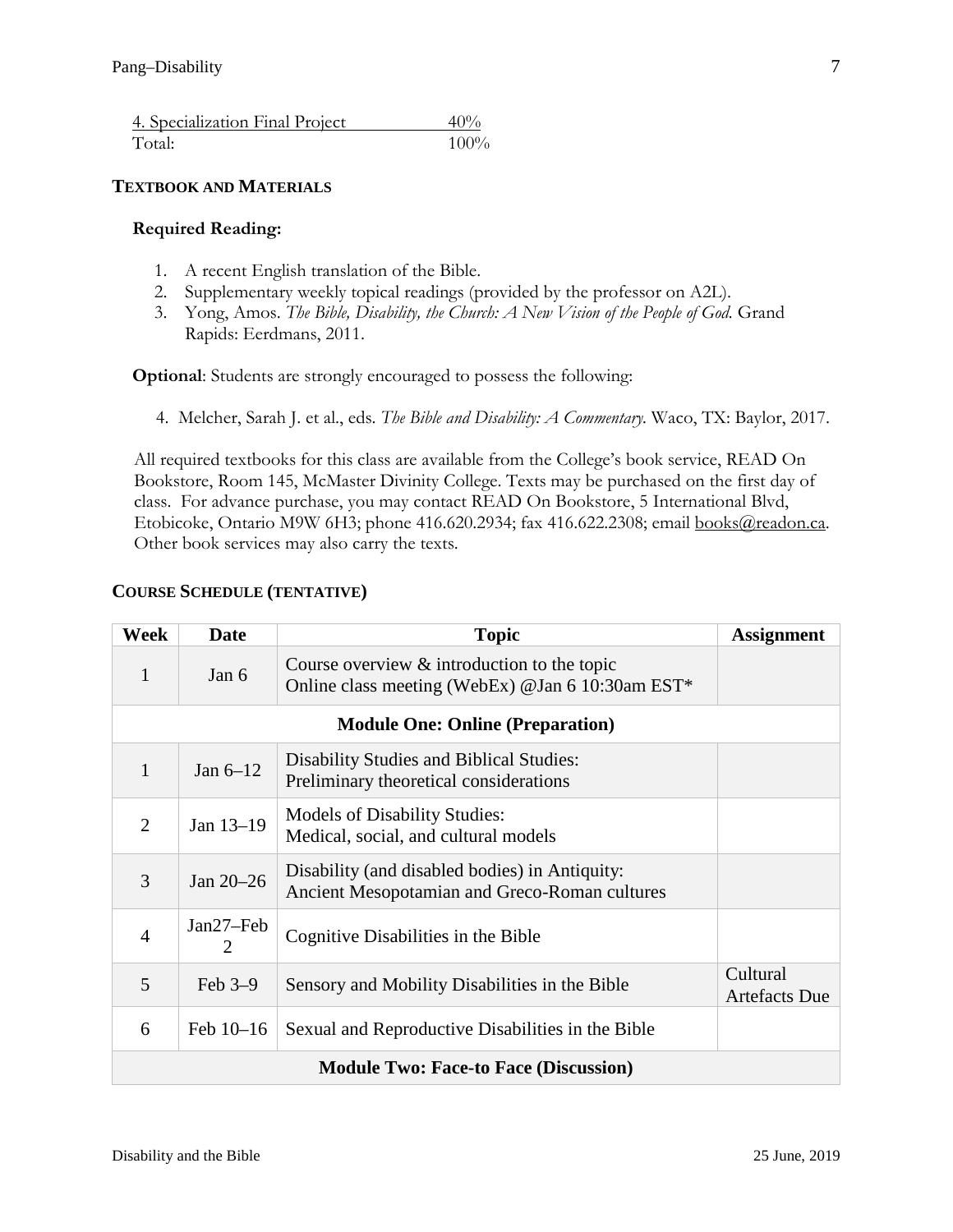| 4. Specialization Final Project | $40\%$  |
|---------------------------------|---------|
| Total:                          | $100\%$ |

### **TEXTBOOK AND MATERIALS**

### **Required Reading:**

- 1. A recent English translation of the Bible.
- 2. Supplementary weekly topical readings (provided by the professor on A2L).
- 3. Yong, Amos. *The Bible, Disability, the Church: A New Vision of the People of God.* Grand Rapids: Eerdmans, 2011.

**Optional**: Students are strongly encouraged to possess the following:

4. Melcher, Sarah J. et al., eds. *The Bible and Disability: A Commentary.* Waco, TX: Baylor, 2017.

All required textbooks for this class are available from the College's book service, READ On Bookstore, Room 145, McMaster Divinity College. Texts may be purchased on the first day of class. For advance purchase, you may contact READ On Bookstore, 5 International Blvd, Etobicoke, Ontario M9W 6H3; phone 416.620.2934; fax 416.622.2308; email [books@readon.ca.](mailto:books@readon.ca) Other book services may also carry the texts.

# **COURSE SCHEDULE (TENTATIVE)**

| Week                                         | Date           | <b>Topic</b>                                                                                       | <b>Assignment</b>                |  |  |
|----------------------------------------------|----------------|----------------------------------------------------------------------------------------------------|----------------------------------|--|--|
| 1                                            | Jan 6          | Course overview $\&$ introduction to the topic<br>Online class meeting (WebEx) @Jan 6 10:30am EST* |                                  |  |  |
| <b>Module One: Online (Preparation)</b>      |                |                                                                                                    |                                  |  |  |
| 1                                            | Jan $6-12$     | Disability Studies and Biblical Studies:<br>Preliminary theoretical considerations                 |                                  |  |  |
| $\overline{2}$                               | Jan 13-19      | <b>Models of Disability Studies:</b><br>Medical, social, and cultural models                       |                                  |  |  |
| 3                                            | Jan 20-26      | Disability (and disabled bodies) in Antiquity:<br>Ancient Mesopotamian and Greco-Roman cultures    |                                  |  |  |
| $\overline{4}$                               | Jan27–Feb<br>2 | Cognitive Disabilities in the Bible                                                                |                                  |  |  |
| 5                                            | Feb $3-9$      | Sensory and Mobility Disabilities in the Bible                                                     | Cultural<br><b>Artefacts Due</b> |  |  |
| 6                                            | Feb $10-16$    | Sexual and Reproductive Disabilities in the Bible                                                  |                                  |  |  |
| <b>Module Two: Face-to Face (Discussion)</b> |                |                                                                                                    |                                  |  |  |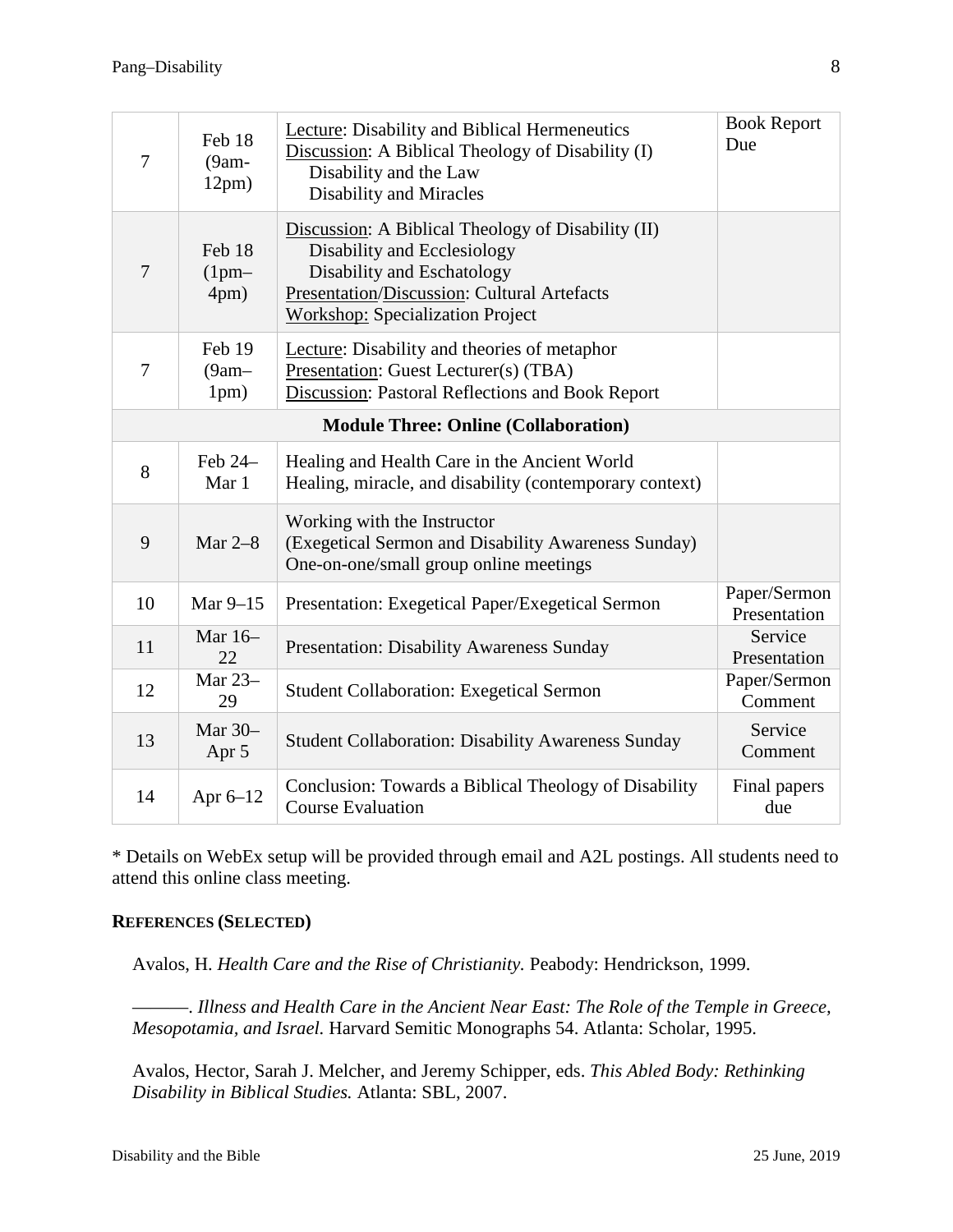| 7                                           | Feb 18<br>$(9am -$<br>12pm) | <b>Lecture:</b> Disability and Biblical Hermeneutics<br>Discussion: A Biblical Theology of Disability (I)<br>Disability and the Law<br><b>Disability and Miracles</b>                                     | <b>Book Report</b><br>Due    |  |  |
|---------------------------------------------|-----------------------------|-----------------------------------------------------------------------------------------------------------------------------------------------------------------------------------------------------------|------------------------------|--|--|
| $\overline{7}$                              | Feb 18<br>$(1pm-$<br>4pm)   | Discussion: A Biblical Theology of Disability (II)<br>Disability and Ecclesiology<br>Disability and Eschatology<br>Presentation/Discussion: Cultural Artefacts<br><b>Workshop: Specialization Project</b> |                              |  |  |
| $\overline{7}$                              | Feb 19<br>$(9am-$<br>1pm)   | Lecture: Disability and theories of metaphor<br>Presentation: Guest Lecturer(s) (TBA)<br>Discussion: Pastoral Reflections and Book Report                                                                 |                              |  |  |
| <b>Module Three: Online (Collaboration)</b> |                             |                                                                                                                                                                                                           |                              |  |  |
| 8                                           | Feb 24-<br>Mar 1            | Healing and Health Care in the Ancient World<br>Healing, miracle, and disability (contemporary context)                                                                                                   |                              |  |  |
| 9                                           | Mar $2-8$                   | Working with the Instructor<br>(Exegetical Sermon and Disability Awareness Sunday)<br>One-on-one/small group online meetings                                                                              |                              |  |  |
| 10                                          | Mar 9-15                    | Presentation: Exegetical Paper/Exegetical Sermon                                                                                                                                                          | Paper/Sermon<br>Presentation |  |  |
| 11                                          | Mar 16-<br>22               | <b>Presentation: Disability Awareness Sunday</b>                                                                                                                                                          | Service<br>Presentation      |  |  |
| 12                                          | Mar 23-<br>29               | <b>Student Collaboration: Exegetical Sermon</b>                                                                                                                                                           | Paper/Sermon<br>Comment      |  |  |
| 13                                          | Mar 30-<br>Apr 5            | <b>Student Collaboration: Disability Awareness Sunday</b>                                                                                                                                                 | Service<br>Comment           |  |  |
| 14                                          | Apr 6-12                    | Conclusion: Towards a Biblical Theology of Disability<br><b>Course Evaluation</b>                                                                                                                         | Final papers<br>due          |  |  |

\* Details on WebEx setup will be provided through email and A2L postings. All students need to attend this online class meeting.

### **REFERENCES (SELECTED)**

Avalos, H. *Health Care and the Rise of Christianity.* Peabody: Hendrickson, 1999.

———. *Illness and Health Care in the Ancient Near East: The Role of the Temple in Greece, Mesopotamia, and Israel.* Harvard Semitic Monographs 54. Atlanta: Scholar, 1995.

Avalos, Hector, Sarah J. Melcher, and Jeremy Schipper, eds. *This Abled Body: Rethinking Disability in Biblical Studies.* Atlanta: SBL, 2007.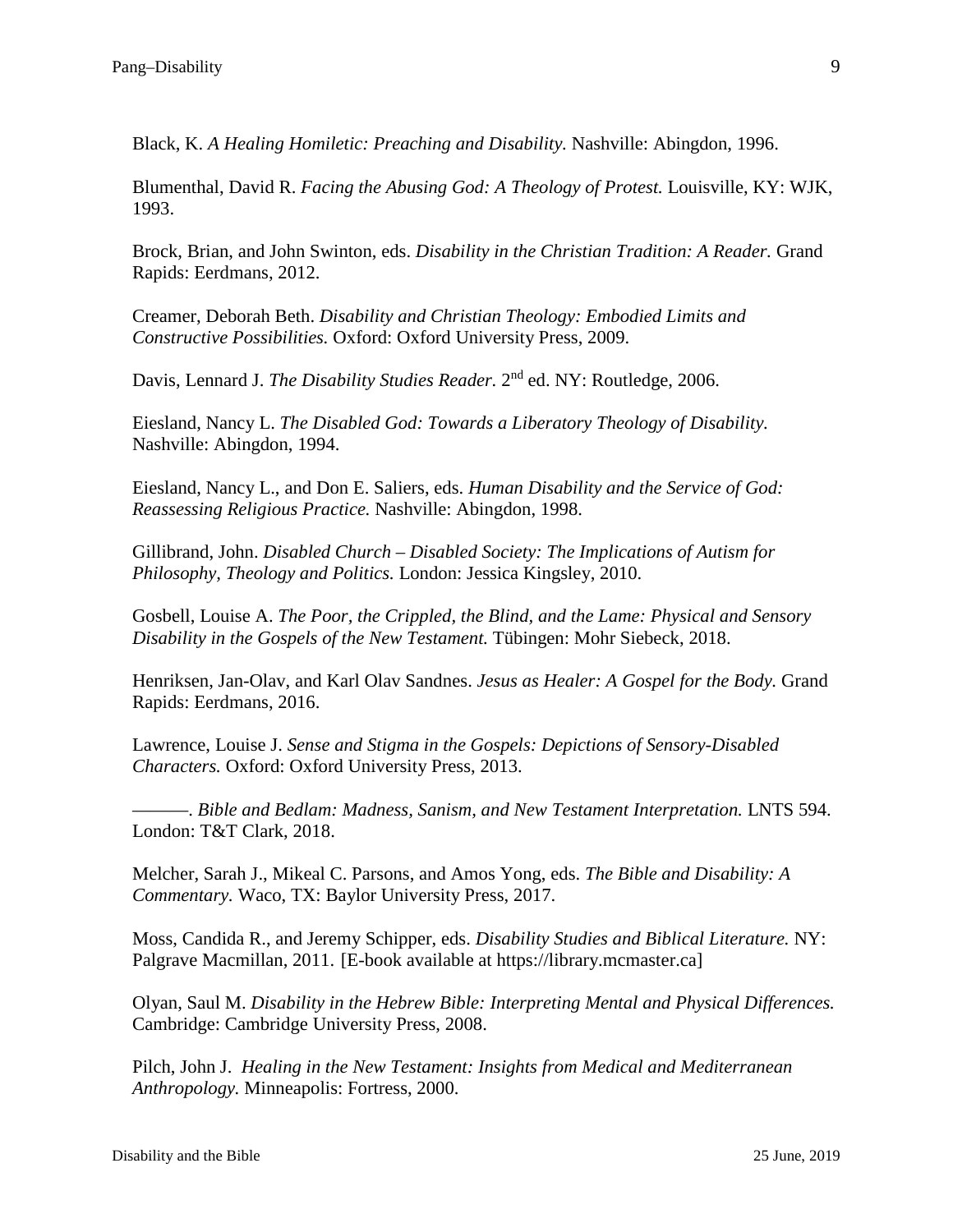Black, K. *A Healing Homiletic: Preaching and Disability.* Nashville: Abingdon, 1996.

Blumenthal, David R. *Facing the Abusing God: A Theology of Protest.* Louisville, KY: WJK, 1993.

Brock, Brian, and John Swinton, eds. *Disability in the Christian Tradition: A Reader.* Grand Rapids: Eerdmans, 2012.

Creamer, Deborah Beth. *Disability and Christian Theology: Embodied Limits and Constructive Possibilities.* Oxford: Oxford University Press, 2009.

Davis, Lennard J. *The Disability Studies Reader.* 2nd ed. NY: Routledge, 2006.

Eiesland, Nancy L. *The Disabled God: Towards a Liberatory Theology of Disability.* Nashville: Abingdon, 1994.

Eiesland, Nancy L., and Don E. Saliers, eds. *Human Disability and the Service of God: Reassessing Religious Practice.* Nashville: Abingdon, 1998.

Gillibrand, John. *Disabled Church – Disabled Society: The Implications of Autism for Philosophy, Theology and Politics.* London: Jessica Kingsley, 2010.

Gosbell, Louise A. *The Poor, the Crippled, the Blind, and the Lame: Physical and Sensory Disability in the Gospels of the New Testament.* Tübingen: Mohr Siebeck, 2018.

Henriksen, Jan-Olav, and Karl Olav Sandnes. *Jesus as Healer: A Gospel for the Body.* Grand Rapids: Eerdmans, 2016.

Lawrence, Louise J. *Sense and Stigma in the Gospels: Depictions of Sensory-Disabled Characters.* Oxford: Oxford University Press, 2013.

———. *Bible and Bedlam: Madness, Sanism, and New Testament Interpretation.* LNTS 594. London: T&T Clark, 2018.

Melcher, Sarah J., Mikeal C. Parsons, and Amos Yong, eds. *The Bible and Disability: A Commentary.* Waco, TX: Baylor University Press, 2017.

Moss, Candida R., and Jeremy Schipper, eds. *Disability Studies and Biblical Literature.* NY: Palgrave Macmillan, 2011. [E-book available at https://library.mcmaster.ca]

Olyan, Saul M. *Disability in the Hebrew Bible: Interpreting Mental and Physical Differences.* Cambridge: Cambridge University Press, 2008.

Pilch, John J. *Healing in the New Testament: Insights from Medical and Mediterranean Anthropology.* Minneapolis: Fortress, 2000.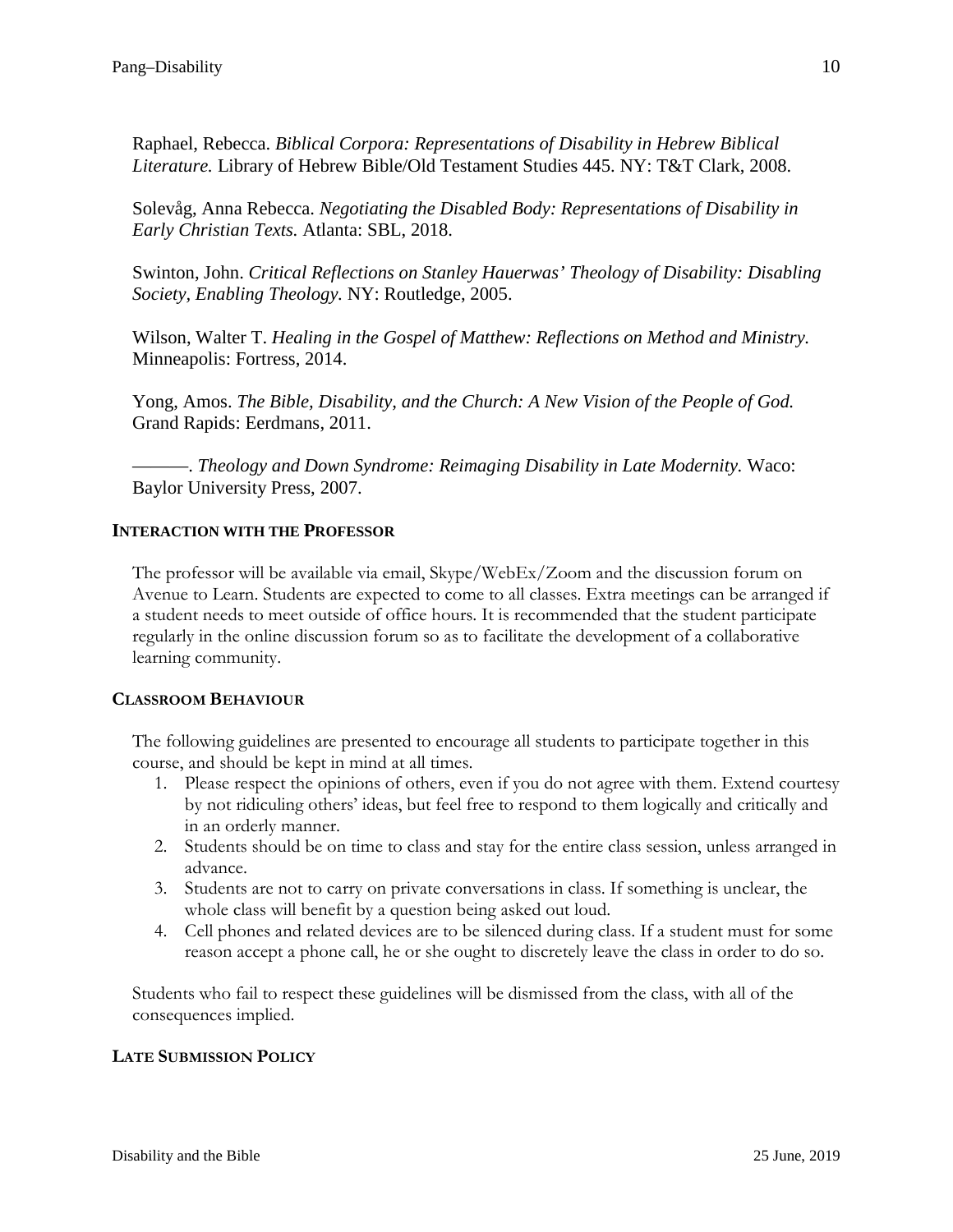Raphael, Rebecca. *Biblical Corpora: Representations of Disability in Hebrew Biblical Literature.* Library of Hebrew Bible/Old Testament Studies 445. NY: T&T Clark, 2008.

Solevåg, Anna Rebecca. *Negotiating the Disabled Body: Representations of Disability in Early Christian Texts.* Atlanta: SBL, 2018.

Swinton, John. *Critical Reflections on Stanley Hauerwas' Theology of Disability: Disabling Society, Enabling Theology.* NY: Routledge, 2005.

Wilson, Walter T. *Healing in the Gospel of Matthew: Reflections on Method and Ministry.* Minneapolis: Fortress, 2014.

Yong, Amos. *The Bible, Disability, and the Church: A New Vision of the People of God.* Grand Rapids: Eerdmans, 2011.

———. *Theology and Down Syndrome: Reimaging Disability in Late Modernity.* Waco: Baylor University Press, 2007.

# **INTERACTION WITH THE PROFESSOR**

The professor will be available via email, Skype/WebEx/Zoom and the discussion forum on Avenue to Learn. Students are expected to come to all classes. Extra meetings can be arranged if a student needs to meet outside of office hours. It is recommended that the student participate regularly in the online discussion forum so as to facilitate the development of a collaborative learning community.

### **CLASSROOM BEHAVIOUR**

The following guidelines are presented to encourage all students to participate together in this course, and should be kept in mind at all times.

- 1. Please respect the opinions of others, even if you do not agree with them. Extend courtesy by not ridiculing others' ideas, but feel free to respond to them logically and critically and in an orderly manner.
- 2. Students should be on time to class and stay for the entire class session, unless arranged in advance.
- 3. Students are not to carry on private conversations in class. If something is unclear, the whole class will benefit by a question being asked out loud.
- 4. Cell phones and related devices are to be silenced during class. If a student must for some reason accept a phone call, he or she ought to discretely leave the class in order to do so.

Students who fail to respect these guidelines will be dismissed from the class, with all of the consequences implied.

# **LATE SUBMISSION POLICY**